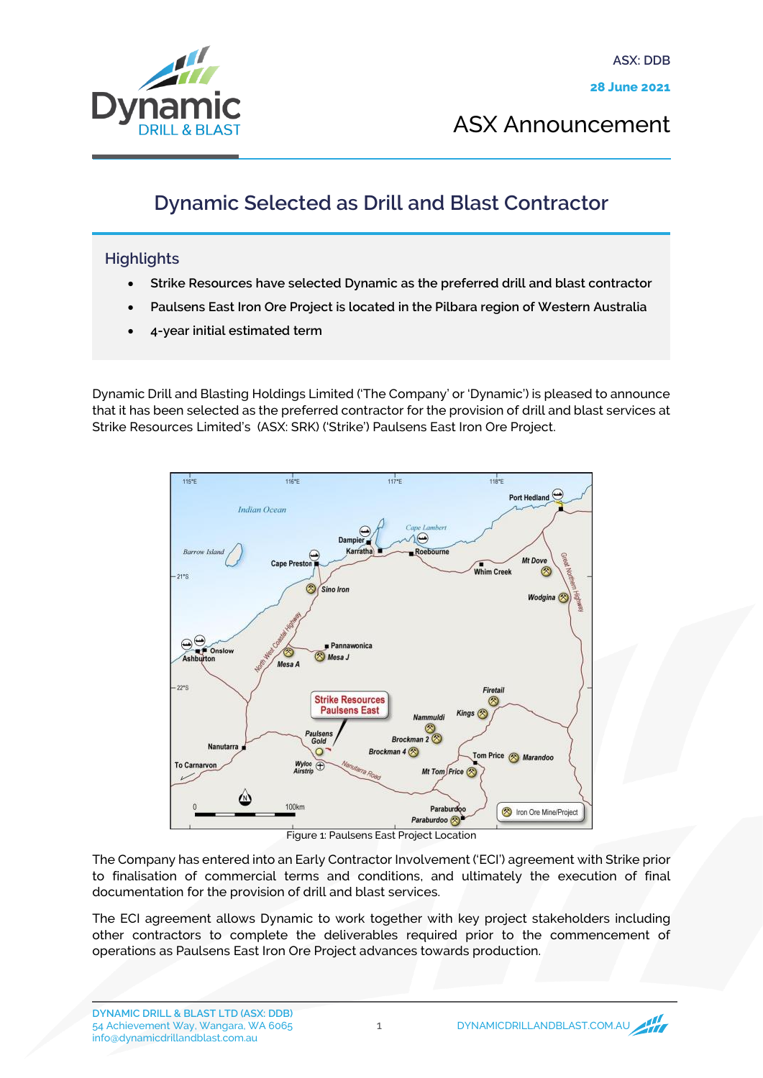

ASX Announcement

## Dynamic Selected as Drill and Blast Contractor

## **Highlights**

- Strike Resources have selected Dynamic as the preferred drill and blast contractor
- Paulsens East Iron Ore Project is located in the Pilbara region of Western Australia
- 4-year initial estimated term

Dynamic Drill and Blasting Holdings Limited ('The Company' or 'Dynamic') is pleased to announce that it has been selected as the preferred contractor for the provision of drill and blast services at Strike Resources Limited's (ASX: SRK) ('Strike') Paulsens East Iron Ore Project.



Figure 1: Paulsens East Project Location

The Company has entered into an Early Contractor Involvement ('ECI') agreement with Strike prior to finalisation of commercial terms and conditions, and ultimately the execution of final documentation for the provision of drill and blast services.

The ECI agreement allows Dynamic to work together with key project stakeholders including other contractors to complete the deliverables required prior to the commencement of operations as Paulsens East Iron Ore Project advances towards production.